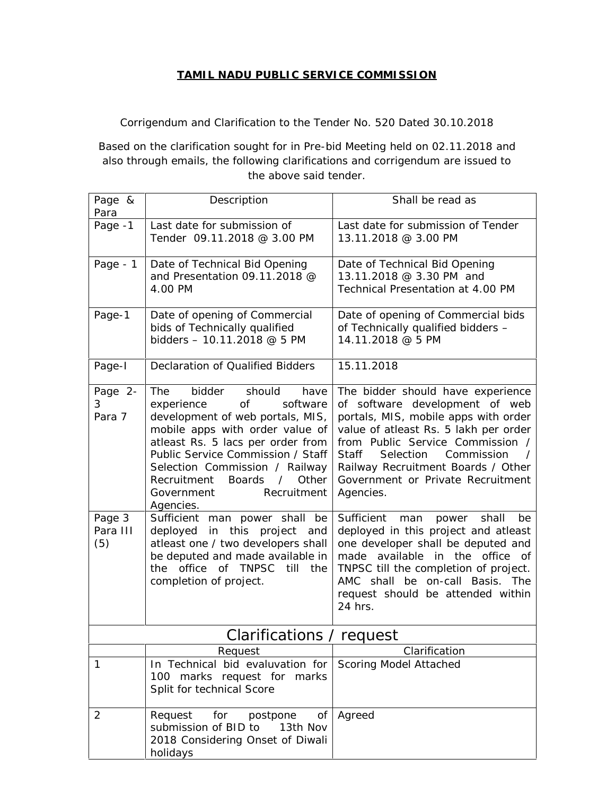## **TAMIL NADU PUBLIC SERVICE COMMISSION**

Corrigendum and Clarification to the Tender No. 520 Dated 30.10.2018

Based on the clarification sought for in Pre-bid Meeting held on 02.11.2018 and also through emails, the following clarifications and corrigendum are issued to the above said tender.

| Page &<br>Para            | Description                                                                                                                                                                                                                                                                                                                                  | Shall be read as                                                                                                                                                                                                                                                                                                                        |  |  |
|---------------------------|----------------------------------------------------------------------------------------------------------------------------------------------------------------------------------------------------------------------------------------------------------------------------------------------------------------------------------------------|-----------------------------------------------------------------------------------------------------------------------------------------------------------------------------------------------------------------------------------------------------------------------------------------------------------------------------------------|--|--|
| Page -1                   | Last date for submission of<br>Tender 09.11.2018 @ 3.00 PM                                                                                                                                                                                                                                                                                   | Last date for submission of Tender<br>13.11.2018 @ 3.00 PM                                                                                                                                                                                                                                                                              |  |  |
| Page - 1                  | Date of Technical Bid Opening<br>and Presentation 09.11.2018 @<br>4.00 PM                                                                                                                                                                                                                                                                    | Date of Technical Bid Opening<br>13.11.2018 @ 3.30 PM and<br>Technical Presentation at 4.00 PM                                                                                                                                                                                                                                          |  |  |
| Page-1                    | Date of opening of Commercial<br>bids of Technically qualified<br>bidders - 10.11.2018 @ 5 PM                                                                                                                                                                                                                                                | Date of opening of Commercial bids<br>of Technically qualified bidders -<br>14.11.2018 @ 5 PM                                                                                                                                                                                                                                           |  |  |
| Page-I                    | Declaration of Qualified Bidders                                                                                                                                                                                                                                                                                                             | 15.11.2018                                                                                                                                                                                                                                                                                                                              |  |  |
| Page 2-<br>3<br>Para 7    | The<br>bidder<br>should<br>have<br>of<br>software<br>experience<br>development of web portals, MIS,<br>mobile apps with order value of<br>atleast Rs. 5 lacs per order from<br>Public Service Commission / Staff<br>Selection Commission / Railway<br>Recruitment<br>Boards<br>$\sqrt{2}$<br>Other<br>Recruitment<br>Government<br>Agencies. | The bidder should have experience<br>of software development of web<br>portals, MIS, mobile apps with order<br>value of atleast Rs. 5 lakh per order<br>from Public Service Commission /<br><b>Staff</b><br>Selection<br>Commission<br>$\prime$<br>Railway Recruitment Boards / Other<br>Government or Private Recruitment<br>Agencies. |  |  |
| Page 3<br>Para III<br>(5) | Sufficient man power shall<br>be<br>in this project and<br>deployed<br>atleast one / two developers shall<br>be deputed and made available in<br>the office of TNPSC till the<br>completion of project.                                                                                                                                      | Sufficient<br>man<br>shall<br>be<br>power<br>deployed in this project and atleast<br>one developer shall be deputed and<br>made available in the office of<br>TNPSC till the completion of project.<br>AMC shall be on-call Basis. The<br>request should be attended within<br>24 hrs.                                                  |  |  |
|                           | Clarifications / request                                                                                                                                                                                                                                                                                                                     |                                                                                                                                                                                                                                                                                                                                         |  |  |
|                           | Request                                                                                                                                                                                                                                                                                                                                      | Clarification                                                                                                                                                                                                                                                                                                                           |  |  |
| $\mathbf{1}$              | In Technical bid evaluvation for<br>100 marks request for marks<br>Split for technical Score                                                                                                                                                                                                                                                 | Scoring Model Attached                                                                                                                                                                                                                                                                                                                  |  |  |
| 2                         | Request<br>for<br>postpone<br>Оf<br>submission of BID to<br>13th Nov<br>2018 Considering Onset of Diwali<br>holidays                                                                                                                                                                                                                         | Agreed                                                                                                                                                                                                                                                                                                                                  |  |  |